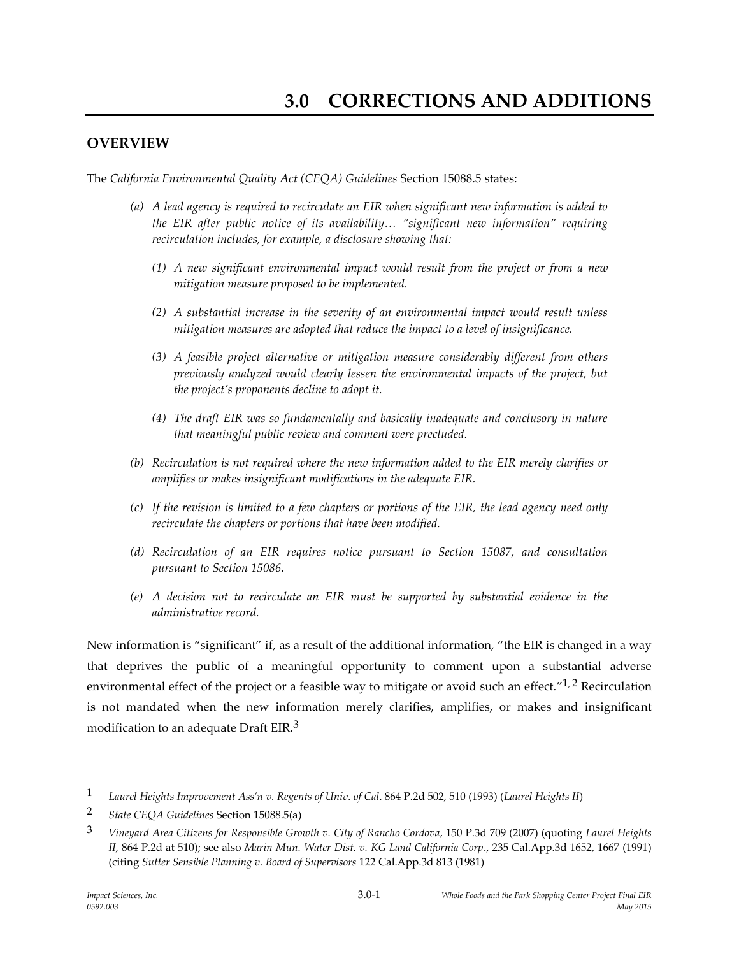## **OVERVIEW**

The *California Environmental Quality Act (CEQA) Guidelines* Section 15088.5 states:

- *(a) A lead agency is required to recirculate an EIR when significant new information is added to the EIR after public notice of its availability… "significant new information" requiring recirculation includes, for example, a disclosure showing that:*
	- *(1) A new significant environmental impact would result from the project or from a new mitigation measure proposed to be implemented.*
	- *(2) A substantial increase in the severity of an environmental impact would result unless mitigation measures are adopted that reduce the impact to a level of insignificance.*
	- *(3) A feasible project alternative or mitigation measure considerably different from others previously analyzed would clearly lessen the environmental impacts of the project, but the project's proponents decline to adopt it.*
	- *(4) The draft EIR was so fundamentally and basically inadequate and conclusory in nature that meaningful public review and comment were precluded.*
- *(b) Recirculation is not required where the new information added to the EIR merely clarifies or amplifies or makes insignificant modifications in the adequate EIR.*
- *(c) If the revision is limited to a few chapters or portions of the EIR, the lead agency need only recirculate the chapters or portions that have been modified.*
- *(d) Recirculation of an EIR requires notice pursuant to Section 15087, and consultation pursuant to Section 15086.*
- *(e) A decision not to recirculate an EIR must be supported by substantial evidence in the administrative record.*

New information is "significant" if, as a result of the additional information, "the EIR is changed in a way that deprives the public of a meaningful opportunity to comment upon a substantial adverse environmental effect of the project or a feasible way to mitigate or avoid such an effect."<sup>1, 2</sup> Recirculation is not mandated when the new information merely clarifies, amplifies, or makes and insignificant modification to an adequate Draft EIR.<sup>3</sup>

 $\overline{a}$ 

<sup>1</sup> *Laurel Heights Improvement Ass'n v. Regents of Univ. of Cal*. 864 P.2d 502, 510 (1993) (*Laurel Heights II*)

<sup>2</sup> *State CEQA Guidelines* Section 15088.5(a)

<sup>3</sup> *Vineyard Area Citizens for Responsible Growth v. City of Rancho Cordova*, 150 P.3d 709 (2007) (quoting *Laurel Heights II*, 864 P.2d at 510); see also *Marin Mun. Water Dist. v. KG Land California Corp*., 235 Cal.App.3d 1652, 1667 (1991) (citing *Sutter Sensible Planning v. Board of Supervisors* 122 Cal.App.3d 813 (1981)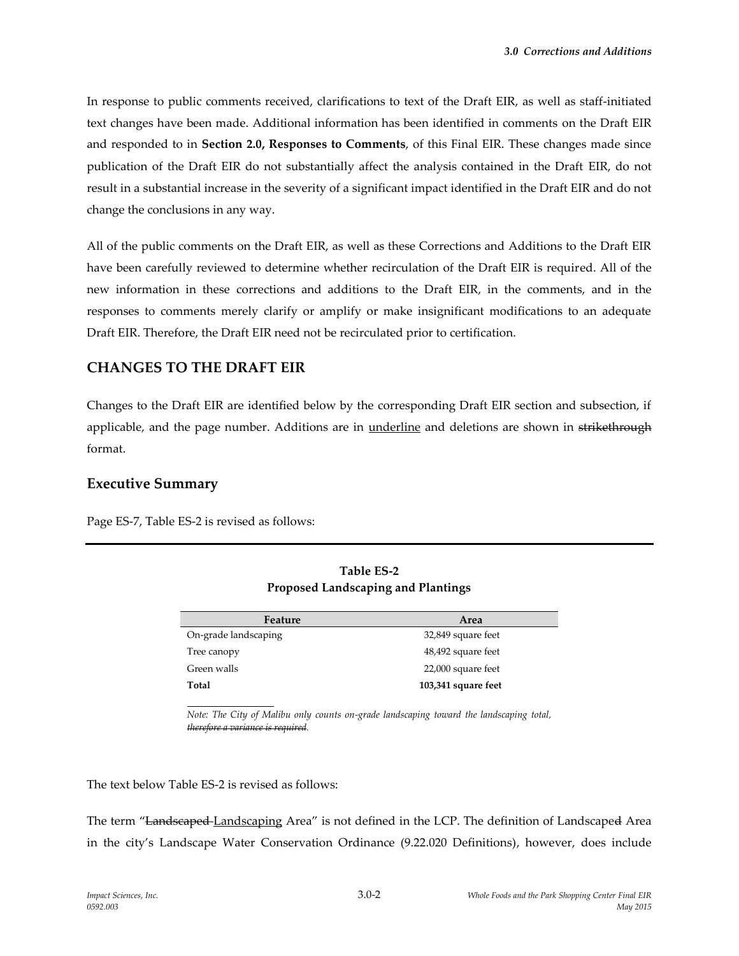In response to public comments received, clarifications to text of the Draft EIR, as well as staff-initiated text changes have been made. Additional information has been identified in comments on the Draft EIR and responded to in **Section 2.0, Responses to Comments**, of this Final EIR. These changes made since publication of the Draft EIR do not substantially affect the analysis contained in the Draft EIR, do not result in a substantial increase in the severity of a significant impact identified in the Draft EIR and do not change the conclusions in any way.

All of the public comments on the Draft EIR, as well as these Corrections and Additions to the Draft EIR have been carefully reviewed to determine whether recirculation of the Draft EIR is required. All of the new information in these corrections and additions to the Draft EIR, in the comments, and in the responses to comments merely clarify or amplify or make insignificant modifications to an adequate Draft EIR. Therefore, the Draft EIR need not be recirculated prior to certification.

## **CHANGES TO THE DRAFT EIR**

Changes to the Draft EIR are identified below by the corresponding Draft EIR section and subsection, if applicable, and the page number. Additions are in underline and deletions are shown in strikethrough format.

## **Executive Summary**

Page ES-7, Table ES-2 is revised as follows:

| Feature              | Area                |
|----------------------|---------------------|
| On-grade landscaping | 32,849 square feet  |
| Tree canopy          | 48,492 square feet  |
| Green walls          | 22,000 square feet  |
| Total                | 103,341 square feet |

**Table ES-2 Proposed Landscaping and Plantings**

*Note: The City of Malibu only counts on-grade landscaping toward the landscaping total, therefore a variance is required.* 

The text below Table ES-2 is revised as follows:

The term "Landscaped Landscaping Area" is not defined in the LCP. The definition of Landscaped Area in the city's Landscape Water Conservation Ordinance (9.22.020 Definitions), however, does include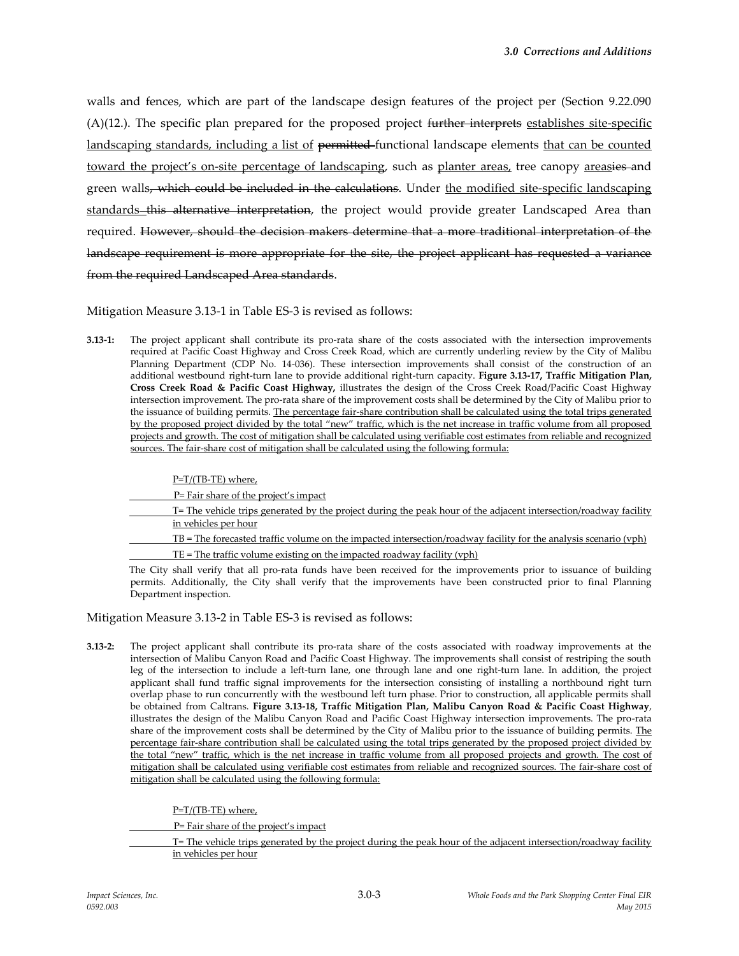walls and fences, which are part of the landscape design features of the project per (Section 9.22.090 (A)(12.). The specific plan prepared for the proposed project further interprets establishes site-specific landscaping standards, including a list of permitted-functional landscape elements that can be counted toward the project's on-site percentage of landscaping, such as planter areas, tree canopy areasies and green walls, which could be included in the calculations. Under the modified site-specific landscaping standards this alternative interpretation, the project would provide greater Landscaped Area than required. However, should the decision makers determine that a more traditional interpretation of the landscape requirement is more appropriate for the site, the project applicant has requested a variance from the required Landscaped Area standards.

Mitigation Measure 3.13-1 in Table ES-3 is revised as follows:

**3.13-1:** The project applicant shall contribute its pro-rata share of the costs associated with the intersection improvements required at Pacific Coast Highway and Cross Creek Road, which are currently underling review by the City of Malibu Planning Department (CDP No. 14-036). These intersection improvements shall consist of the construction of an additional westbound right-turn lane to provide additional right-turn capacity. **Figure 3.13-17, Traffic Mitigation Plan, Cross Creek Road & Pacific Coast Highway,** illustrates the design of the Cross Creek Road/Pacific Coast Highway intersection improvement. The pro-rata share of the improvement costs shall be determined by the City of Malibu prior to the issuance of building permits. The percentage fair-share contribution shall be calculated using the total trips generated by the proposed project divided by the total "new" traffic, which is the net increase in traffic volume from all proposed projects and growth. The cost of mitigation shall be calculated using verifiable cost estimates from reliable and recognized sources. The fair-share cost of mitigation shall be calculated using the following formula:

| $P=T/(TB-TE)$ where,                                                                                                |
|---------------------------------------------------------------------------------------------------------------------|
| $P=$ Fair share of the project's impact                                                                             |
| T= The vehicle trips generated by the project during the peak hour of the adjacent intersection/roadway facility    |
| in vehicles per hour                                                                                                |
| $TB$ = The forecasted traffic volume on the impacted intersection/roadway facility for the analysis scenario (vph)  |
| $TE$ = The traffic volume existing on the impacted roadway facility (vph)                                           |
| The City shall verify that all pro rata funds have been received for the improvements prior to issuance of building |

The City shall verify that all pro-rata funds have been received for the improvements prior to issuance of building permits. Additionally, the City shall verify that the improvements have been constructed prior to final Planning Department inspection.

Mitigation Measure 3.13-2 in Table ES-3 is revised as follows:

**3.13-2:** The project applicant shall contribute its pro-rata share of the costs associated with roadway improvements at the intersection of Malibu Canyon Road and Pacific Coast Highway. The improvements shall consist of restriping the south leg of the intersection to include a left-turn lane, one through lane and one right-turn lane. In addition, the project applicant shall fund traffic signal improvements for the intersection consisting of installing a northbound right turn overlap phase to run concurrently with the westbound left turn phase. Prior to construction, all applicable permits shall be obtained from Caltrans. **Figure 3.13-18, Traffic Mitigation Plan, Malibu Canyon Road & Pacific Coast Highway**, illustrates the design of the Malibu Canyon Road and Pacific Coast Highway intersection improvements. The pro-rata share of the improvement costs shall be determined by the City of Malibu prior to the issuance of building permits. The percentage fair-share contribution shall be calculated using the total trips generated by the proposed project divided by the total "new" traffic, which is the net increase in traffic volume from all proposed projects and growth. The cost of mitigation shall be calculated using verifiable cost estimates from reliable and recognized sources. The fair-share cost of mitigation shall be calculated using the following formula:

P=T/(TB-TE) where, P= Fair share of the project's impact T= The vehicle trips generated by the project during the peak hour of the adjacent intersection/roadway facility in vehicles per hour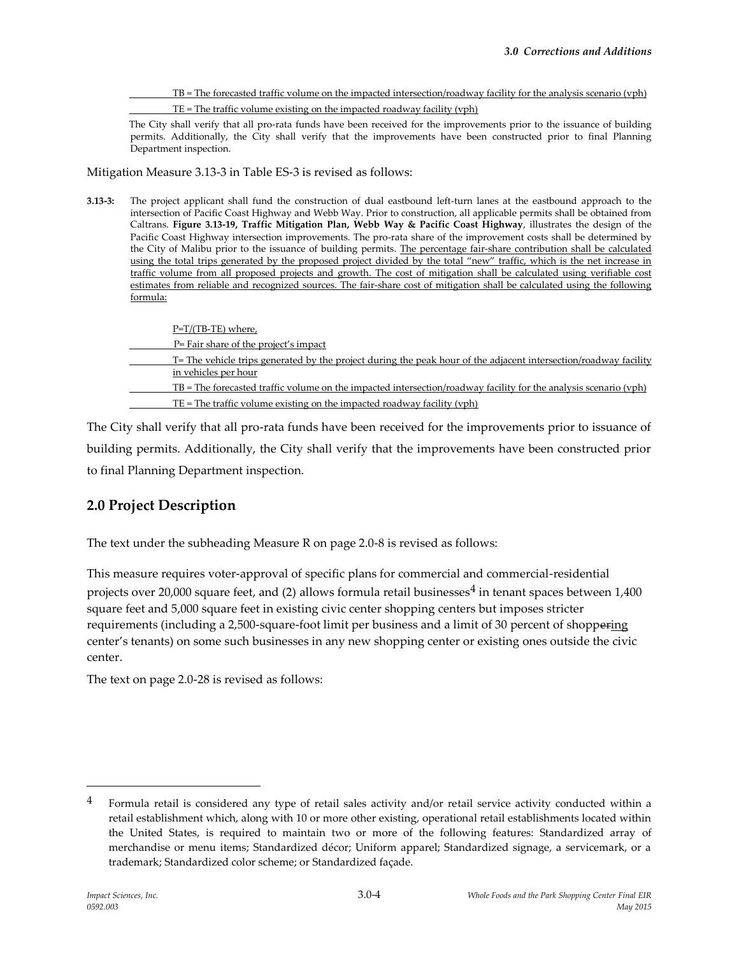TB = The forecasted traffic volume on the impacted intersection/roadway facility for the analysis scenario (vph) TE = The traffic volume existing on the impacted roadway facility (vph)

The City shall verify that all pro-rata funds have been received for the improvements prior to the issuance of building permits. Additionally, the City shall verify that the improvements have been constructed prior to final Planning Department inspection.

Mitigation Measure 3.13-3 in Table ES-3 is revised as follows:

**3.13-3:** The project applicant shall fund the construction of dual eastbound left-turn lanes at the eastbound approach to the intersection of Pacific Coast Highway and Webb Way. Prior to construction, all applicable permits shall be obtained from Caltrans. **Figure 3.13-19, Traffic Mitigation Plan, Webb Way & Pacific Coast Highway**, illustrates the design of the Pacific Coast Highway intersection improvements. The pro-rata share of the improvement costs shall be determined by the City of Malibu prior to the issuance of building permits. The percentage fair-share contribution shall be calculated using the total trips generated by the proposed project divided by the total "new" traffic, which is the net increase in traffic volume from all proposed projects and growth. The cost of mitigation shall be calculated using verifiable cost estimates from reliable and recognized sources. The fair-share cost of mitigation shall be calculated using the following formula:

| $P=T/(TB-TE)$ where,                                                                                               |
|--------------------------------------------------------------------------------------------------------------------|
| P= Fair share of the project's impact                                                                              |
| T= The vehicle trips generated by the project during the peak hour of the adjacent intersection/roadway facility   |
| in vehicles per hour                                                                                               |
| $TB$ = The forecasted traffic volume on the impacted intersection/roadway facility for the analysis scenario (vph) |
| $TE = The traffic volume existing on the impacted roadway facility (vph)$                                          |

The City shall verify that all pro-rata funds have been received for the improvements prior to issuance of building permits. Additionally, the City shall verify that the improvements have been constructed prior to final Planning Department inspection.

# **2.0 Project Description**

The text under the subheading Measure R on page 2.0-8 is revised as follows:

This measure requires voter-approval of specific plans for commercial and commercial-residential projects over 20,000 square feet, and (2) allows formula retail businesses<sup>4</sup> in tenant spaces between  $1,400$ square feet and 5,000 square feet in existing civic center shopping centers but imposes stricter requirements (including a 2,500-square-foot limit per business and a limit of 30 percent of shoppering center's tenants) on some such businesses in any new shopping center or existing ones outside the civic center.

The text on page 2.0-28 is revised as follows:

 $\overline{a}$ 

 $4$  Formula retail is considered any type of retail sales activity and/or retail service activity conducted within a retail establishment which, along with 10 or more other existing, operational retail establishments located within the United States, is required to maintain two or more of the following features: Standardized array of merchandise or menu items; Standardized décor; Uniform apparel; Standardized signage, a servicemark, or a trademark; Standardized color scheme; or Standardized façade.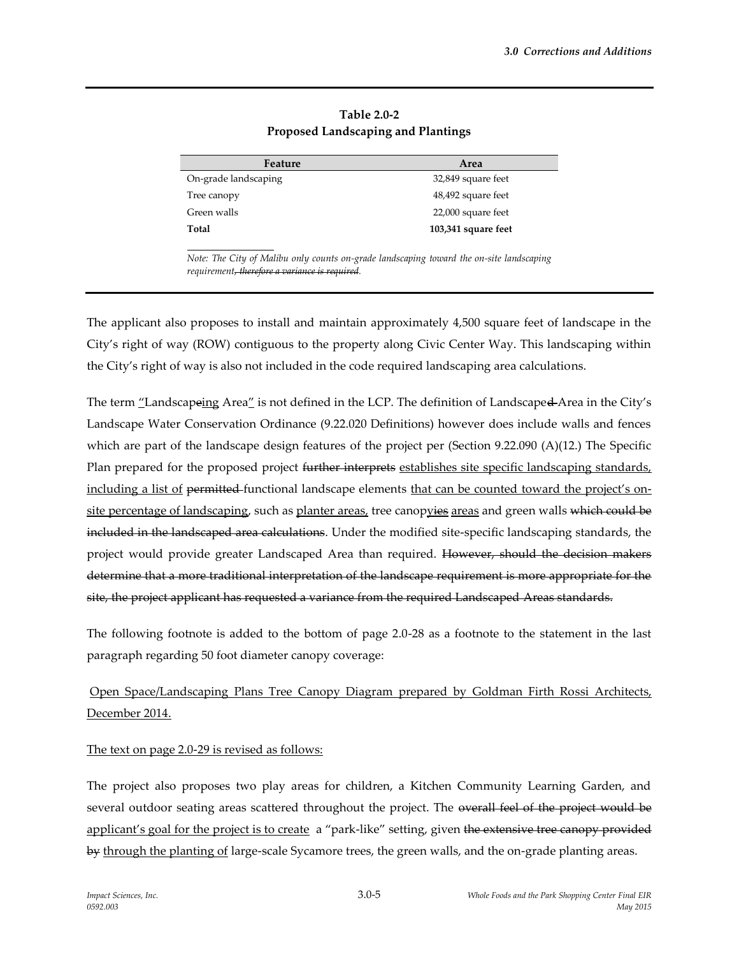| Feature              | Area                |
|----------------------|---------------------|
| On-grade landscaping | 32,849 square feet  |
| Tree canopy          | 48,492 square feet  |
| Green walls          | 22,000 square feet  |
| Total                | 103,341 square feet |

**Table 2.0-2 Proposed Landscaping and Plantings**

*Note: The City of Malibu only counts on-grade landscaping toward the on-site landscaping requirement, therefore a variance is required.* 

The applicant also proposes to install and maintain approximately 4,500 square feet of landscape in the City's right of way (ROW) contiguous to the property along Civic Center Way. This landscaping within the City's right of way is also not included in the code required landscaping area calculations.

The term "Landscapeing Area" is not defined in the LCP. The definition of Landscaped Area in the City's Landscape Water Conservation Ordinance (9.22.020 Definitions) however does include walls and fences which are part of the landscape design features of the project per (Section 9.22.090 (A)(12.) The Specific Plan prepared for the proposed project <del>further interprets</del> establishes site specific landscaping standards, including a list of permitted-functional landscape elements that can be counted toward the project's onsite percentage of landscaping, such as planter areas, tree canopyies areas and green walls which could be included in the landscaped area calculations. Under the modified site-specific landscaping standards, the project would provide greater Landscaped Area than required. However, should the decision makers determine that a more traditional interpretation of the landscape requirement is more appropriate for the site, the project applicant has requested a variance from the required Landscaped Areas standards.

The following footnote is added to the bottom of page 2.0-28 as a footnote to the statement in the last paragraph regarding 50 foot diameter canopy coverage:

# Open Space/Landscaping Plans Tree Canopy Diagram prepared by Goldman Firth Rossi Architects, December 2014.

The text on page 2.0-29 is revised as follows:

The project also proposes two play areas for children, a Kitchen Community Learning Garden, and several outdoor seating areas scattered throughout the project. The overall feel of the project would be applicant's goal for the project is to create a "park-like" setting, given the extensive tree canopy provided by through the planting of large-scale Sycamore trees, the green walls, and the on-grade planting areas.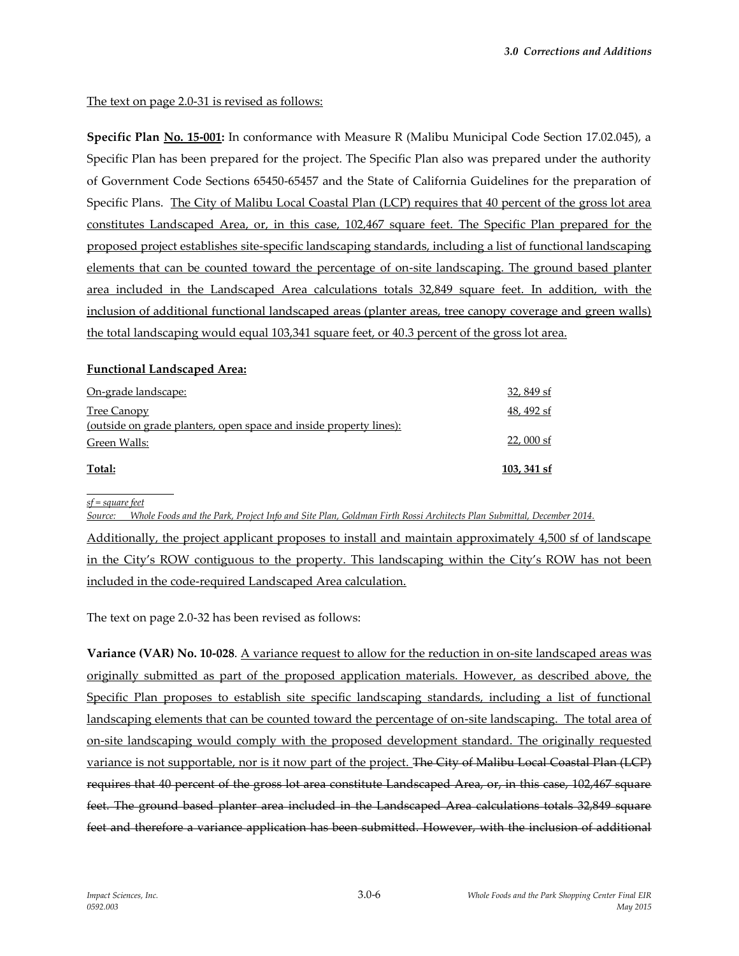### The text on page 2.0-31 is revised as follows:

**Specific Plan No. 15-001:** In conformance with Measure R (Malibu Municipal Code Section 17.02.045), a Specific Plan has been prepared for the project. The Specific Plan also was prepared under the authority of Government Code Sections 65450-65457 and the State of California Guidelines for the preparation of Specific Plans. The City of Malibu Local Coastal Plan (LCP) requires that 40 percent of the gross lot area constitutes Landscaped Area, or, in this case, 102,467 square feet. The Specific Plan prepared for the proposed project establishes site-specific landscaping standards, including a list of functional landscaping elements that can be counted toward the percentage of on-site landscaping. The ground based planter area included in the Landscaped Area calculations totals 32,849 square feet. In addition, with the inclusion of additional functional landscaped areas (planter areas, tree canopy coverage and green walls) the total landscaping would equal 103,341 square feet, or 40.3 percent of the gross lot area.

### **Functional Landscaped Area:**

| On-grade landscape:                                                                       | 32,849 sf   |
|-------------------------------------------------------------------------------------------|-------------|
| Tree Canopy                                                                               | 48, 492 sf  |
| <u>(outside on grade planters, open space and inside property lines):</u><br>Green Walls: | $22,000$ sf |
| Total:                                                                                    | 103, 341 sf |

*sf = square feet*

*Source: Whole Foods and the Park, Project Info and Site Plan, Goldman Firth Rossi Architects Plan Submittal, December 2014.*

Additionally, the project applicant proposes to install and maintain approximately 4,500 sf of landscape in the City's ROW contiguous to the property. This landscaping within the City's ROW has not been included in the code-required Landscaped Area calculation.

The text on page 2.0-32 has been revised as follows:

**Variance (VAR) No. 10-028**. A variance request to allow for the reduction in on-site landscaped areas was originally submitted as part of the proposed application materials. However, as described above, the Specific Plan proposes to establish site specific landscaping standards, including a list of functional landscaping elements that can be counted toward the percentage of on-site landscaping. The total area of on-site landscaping would comply with the proposed development standard. The originally requested variance is not supportable, nor is it now part of the project. The City of Malibu Local Coastal Plan (LCP) requires that 40 percent of the gross lot area constitute Landscaped Area, or, in this case, 102,467 square feet. The ground based planter area included in the Landscaped Area calculations totals 32,849 square feet and therefore a variance application has been submitted. However, with the inclusion of additional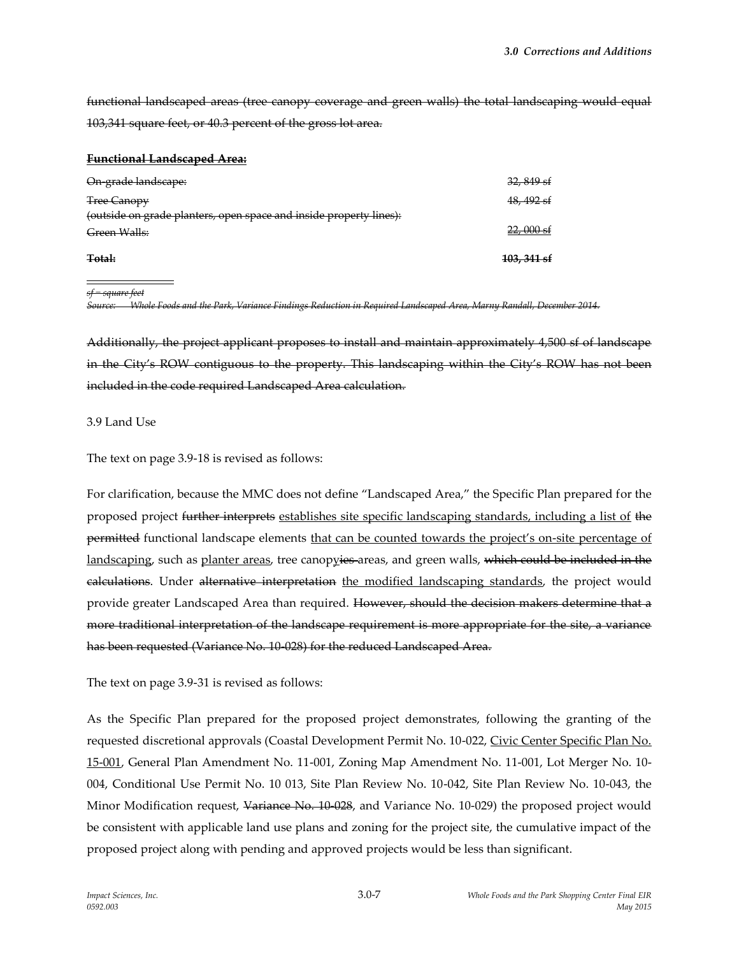functional landscaped areas (tree canopy coverage and green walls) the total landscaping would equal 103,341 square feet, or 40.3 percent of the gross lot area.

#### **Functional Landscaped Area:**

| On-grade landscape:                                                | $32,849$ sf            |
|--------------------------------------------------------------------|------------------------|
| <b>Tree Canopy</b>                                                 | 48, 492 sf             |
| (outside on grade planters, open space and inside property lines): |                        |
| Green Walls:                                                       | $22,000$ sf            |
| Total:                                                             | <del>103, 341 sf</del> |
|                                                                    |                        |

*sf = square feet*

*Source: Whole Foods and the Park, Variance Findings Reduction in Required Landscaped Area, Marny Randall, December 2014.*

Additionally, the project applicant proposes to install and maintain approximately 4,500 sf of landscape in the City's ROW contiguous to the property. This landscaping within the City's ROW has not been included in the code required Landscaped Area calculation.

#### 3.9 Land Use

The text on page 3.9-18 is revised as follows:

For clarification, because the MMC does not define "Landscaped Area," the Specific Plan prepared for the proposed project further interprets establishes site specific landscaping standards, including a list of the permitted functional landscape elements that can be counted towards the project's on-site percentage of landscaping, such as planter areas, tree canopyies areas, and green walls, which could be included in the calculations. Under alternative interpretation the modified landscaping standards, the project would provide greater Landscaped Area than required. However, should the decision makers determine that a more traditional interpretation of the landscape requirement is more appropriate for the site, a variance has been requested (Variance No. 10-028) for the reduced Landscaped Area.

The text on page 3.9-31 is revised as follows:

As the Specific Plan prepared for the proposed project demonstrates, following the granting of the requested discretional approvals (Coastal Development Permit No. 10-022, Civic Center Specific Plan No. 15-001, General Plan Amendment No. 11-001, Zoning Map Amendment No. 11-001, Lot Merger No. 10- 004, Conditional Use Permit No. 10 013, Site Plan Review No. 10-042, Site Plan Review No. 10-043, the Minor Modification request, Variance No. 10-028, and Variance No. 10-029) the proposed project would be consistent with applicable land use plans and zoning for the project site, the cumulative impact of the proposed project along with pending and approved projects would be less than significant.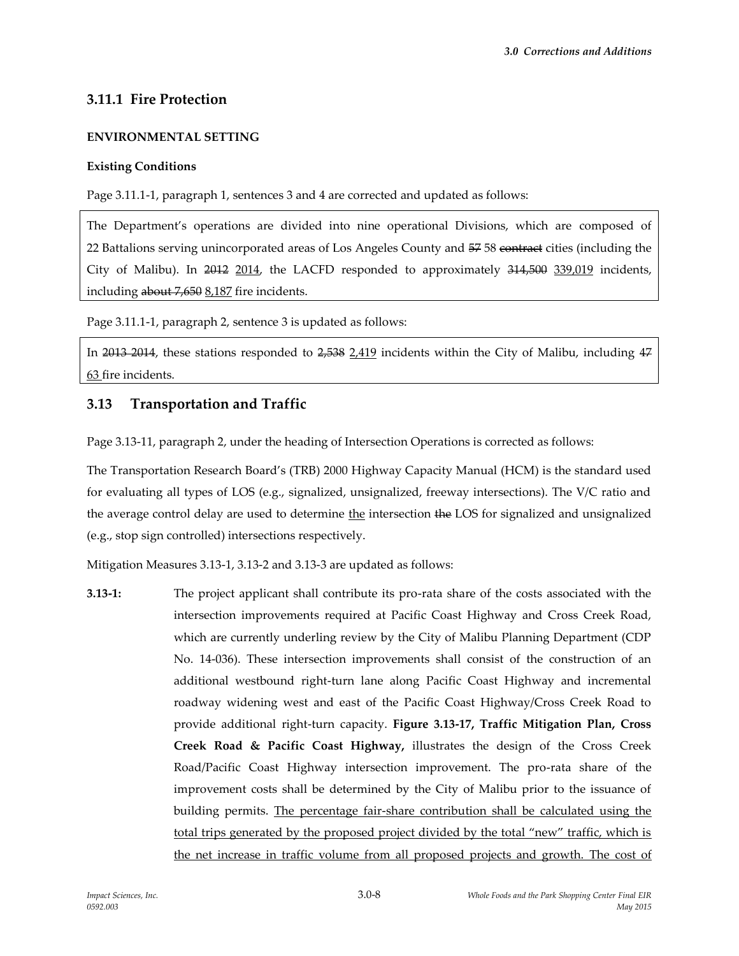# **3.11.1 Fire Protection**

### **ENVIRONMENTAL SETTING**

### **Existing Conditions**

Page 3.11.1-1, paragraph 1, sentences 3 and 4 are corrected and updated as follows:

The Department's operations are divided into nine operational Divisions, which are composed of 22 Battalions serving unincorporated areas of Los Angeles County and  $5758$  contract cities (including the City of Malibu). In 2012 2014, the LACFD responded to approximately 314,500 339,019 incidents, including about 7,650 8,187 fire incidents.

Page 3.11.1-1, paragraph 2, sentence 3 is updated as follows:

In 2013 2014, these stations responded to 2,538 2,419 incidents within the City of Malibu, including 47 63 fire incidents.

## **3.13 Transportation and Traffic**

Page 3.13-11, paragraph 2, under the heading of Intersection Operations is corrected as follows:

The Transportation Research Board's (TRB) 2000 Highway Capacity Manual (HCM) is the standard used for evaluating all types of LOS (e.g., signalized, unsignalized, freeway intersections). The V/C ratio and the average control delay are used to determine the intersection the LOS for signalized and unsignalized (e.g., stop sign controlled) intersections respectively.

Mitigation Measures 3.13-1, 3.13-2 and 3.13-3 are updated as follows:

**3.13-1:** The project applicant shall contribute its pro-rata share of the costs associated with the intersection improvements required at Pacific Coast Highway and Cross Creek Road, which are currently underling review by the City of Malibu Planning Department (CDP No. 14-036). These intersection improvements shall consist of the construction of an additional westbound right-turn lane along Pacific Coast Highway and incremental roadway widening west and east of the Pacific Coast Highway/Cross Creek Road to provide additional right-turn capacity. **Figure 3.13-17, Traffic Mitigation Plan, Cross Creek Road & Pacific Coast Highway,** illustrates the design of the Cross Creek Road/Pacific Coast Highway intersection improvement. The pro-rata share of the improvement costs shall be determined by the City of Malibu prior to the issuance of building permits. The percentage fair-share contribution shall be calculated using the total trips generated by the proposed project divided by the total "new" traffic, which is the net increase in traffic volume from all proposed projects and growth. The cost of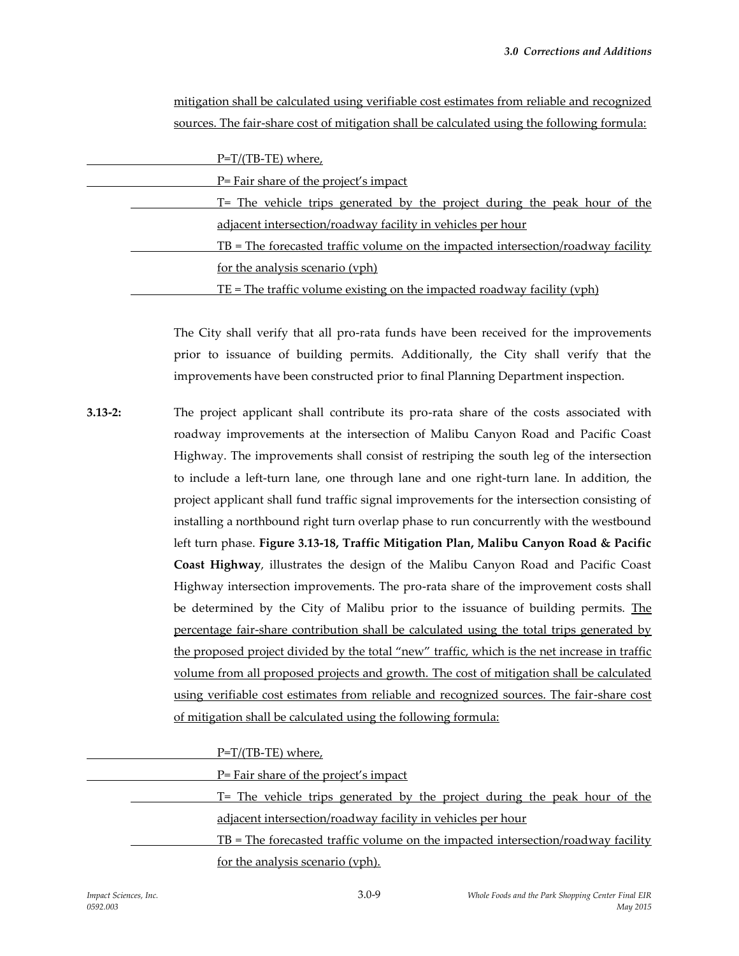| sources. The fair-share cost of mitigation shall be calculated using the following formula: |
|---------------------------------------------------------------------------------------------|
|                                                                                             |
| $P=T/(TB-TE)$ where,                                                                        |
| P= Fair share of the project's impact                                                       |
| T= The vehicle trips generated by the project during the peak hour of the                   |
| adjacent intersection/roadway facility in vehicles per hour                                 |
| $TB = The forecasted traffic volume on the impacted intersection/roadway facility$          |
| for the analysis scenario (vph)                                                             |
| $TE$ = The traffic volume existing on the impacted roadway facility (vph)                   |

The City shall verify that all pro-rata funds have been received for the improvements prior to issuance of building permits. Additionally, the City shall verify that the improvements have been constructed prior to final Planning Department inspection.

mitigation shall be calculated using verifiable cost estimates from reliable and recognized

**3.13-2:** The project applicant shall contribute its pro-rata share of the costs associated with roadway improvements at the intersection of Malibu Canyon Road and Pacific Coast Highway. The improvements shall consist of restriping the south leg of the intersection to include a left-turn lane, one through lane and one right-turn lane. In addition, the project applicant shall fund traffic signal improvements for the intersection consisting of installing a northbound right turn overlap phase to run concurrently with the westbound left turn phase. **Figure 3.13-18, Traffic Mitigation Plan, Malibu Canyon Road & Pacific Coast Highway**, illustrates the design of the Malibu Canyon Road and Pacific Coast Highway intersection improvements. The pro-rata share of the improvement costs shall be determined by the City of Malibu prior to the issuance of building permits. The percentage fair-share contribution shall be calculated using the total trips generated by the proposed project divided by the total "new" traffic, which is the net increase in traffic volume from all proposed projects and growth. The cost of mitigation shall be calculated using verifiable cost estimates from reliable and recognized sources. The fair-share cost of mitigation shall be calculated using the following formula:

P=T/(TB-TE) where,

P= Fair share of the project's impact

T= The vehicle trips generated by the project during the peak hour of the adjacent intersection/roadway facility in vehicles per hour

TB = The forecasted traffic volume on the impacted intersection/roadway facility for the analysis scenario (vph).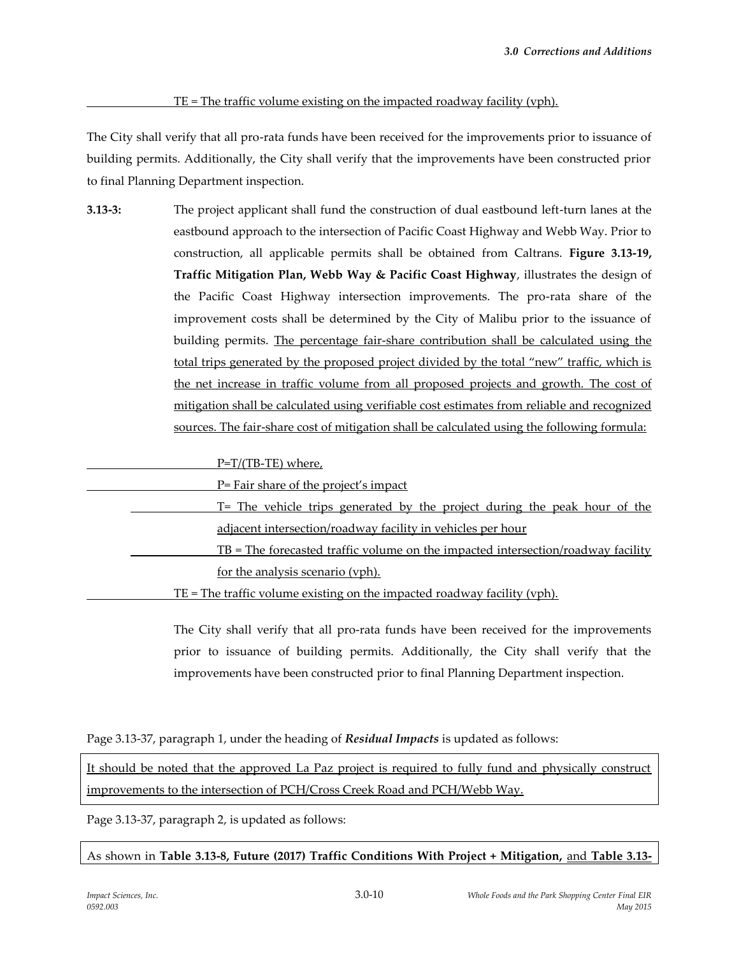#### TE = The traffic volume existing on the impacted roadway facility (vph).

The City shall verify that all pro-rata funds have been received for the improvements prior to issuance of building permits. Additionally, the City shall verify that the improvements have been constructed prior to final Planning Department inspection.

**3.13-3:** The project applicant shall fund the construction of dual eastbound left-turn lanes at the eastbound approach to the intersection of Pacific Coast Highway and Webb Way. Prior to construction, all applicable permits shall be obtained from Caltrans. **Figure 3.13-19, Traffic Mitigation Plan, Webb Way & Pacific Coast Highway**, illustrates the design of the Pacific Coast Highway intersection improvements. The pro-rata share of the improvement costs shall be determined by the City of Malibu prior to the issuance of building permits. The percentage fair-share contribution shall be calculated using the total trips generated by the proposed project divided by the total "new" traffic, which is the net increase in traffic volume from all proposed projects and growth. The cost of mitigation shall be calculated using verifiable cost estimates from reliable and recognized sources. The fair-share cost of mitigation shall be calculated using the following formula:

#### P=T/(TB-TE) where,

| P= Fair share of the project's impact                                                   |
|-----------------------------------------------------------------------------------------|
| T= The vehicle trips generated by the project during the peak hour of the               |
| adjacent intersection/roadway facility in vehicles per hour                             |
| <u>TB = The forecasted traffic volume on the impacted intersection/roadway facility</u> |
| for the analysis scenario (vph).                                                        |
| <u>TE = The traffic volume existing on the impacted roadway facility (vph).</u>         |

The City shall verify that all pro-rata funds have been received for the improvements prior to issuance of building permits. Additionally, the City shall verify that the improvements have been constructed prior to final Planning Department inspection.

Page 3.13-37, paragraph 1, under the heading of *Residual Impacts* is updated as follows:

It should be noted that the approved La Paz project is required to fully fund and physically construct improvements to the intersection of PCH/Cross Creek Road and PCH/Webb Way.

Page 3.13-37, paragraph 2, is updated as follows:

As shown in **Table 3.13-8, Future (2017) Traffic Conditions With Project + Mitigation,** and **Table 3.13-**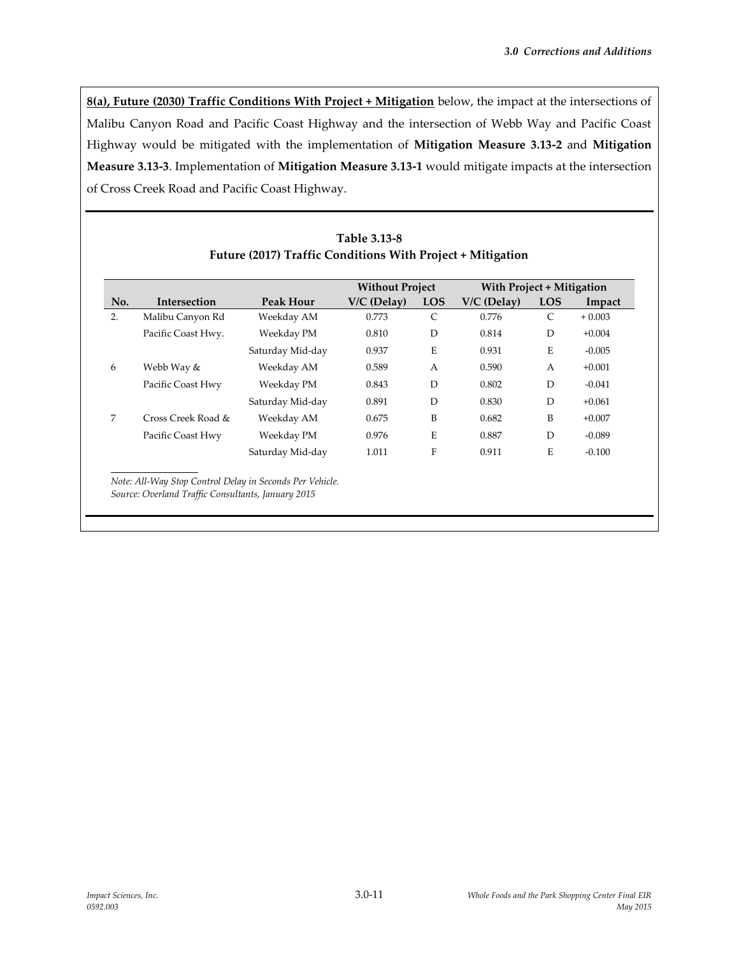**8(a), Future (2030) Traffic Conditions With Project + Mitigation** below, the impact at the intersections of Malibu Canyon Road and Pacific Coast Highway and the intersection of Webb Way and Pacific Coast Highway would be mitigated with the implementation of **Mitigation Measure 3.13-2** and **Mitigation Measure 3.13-3**. Implementation of **Mitigation Measure 3.13-1** would mitigate impacts at the intersection of Cross Creek Road and Pacific Coast Highway.

|     |                    |                  | <b>Without Project</b> |              | With Project + Mitigation |               |          |
|-----|--------------------|------------------|------------------------|--------------|---------------------------|---------------|----------|
| No. | Intersection       | Peak Hour        | V/C (Delay)            | <b>LOS</b>   | $V/C$ (Delay)             | <b>LOS</b>    | Impact   |
| 2.  | Malibu Canyon Rd   | Weekday AM       | 0.773                  | $\mathsf{C}$ | 0.776                     | $\mathcal{C}$ | $+0.003$ |
|     | Pacific Coast Hwy. | Weekday PM       | 0.810                  | D            | 0.814                     | D             | $+0.004$ |
|     |                    | Saturday Mid-day | 0.937                  | E            | 0.931                     | Ε             | $-0.005$ |
| 6   | Webb Way &         | Weekday AM       | 0.589                  | A            | 0.590                     | A             | $+0.001$ |
|     | Pacific Coast Hwy  | Weekday PM       | 0.843                  | D            | 0.802                     | D             | $-0.041$ |
|     |                    | Saturday Mid-day | 0.891                  | D            | 0.830                     | D             | $+0.061$ |
| 7   | Cross Creek Road & | Weekday AM       | 0.675                  | B            | 0.682                     | B             | $+0.007$ |
|     | Pacific Coast Hwy  | Weekday PM       | 0.976                  | E            | 0.887                     | D             | $-0.089$ |
|     |                    | Saturday Mid-day | 1.011                  | F            | 0.911                     | E             | $-0.100$ |

### **Table 3.13-8 Future (2017) Traffic Conditions With Project + Mitigation**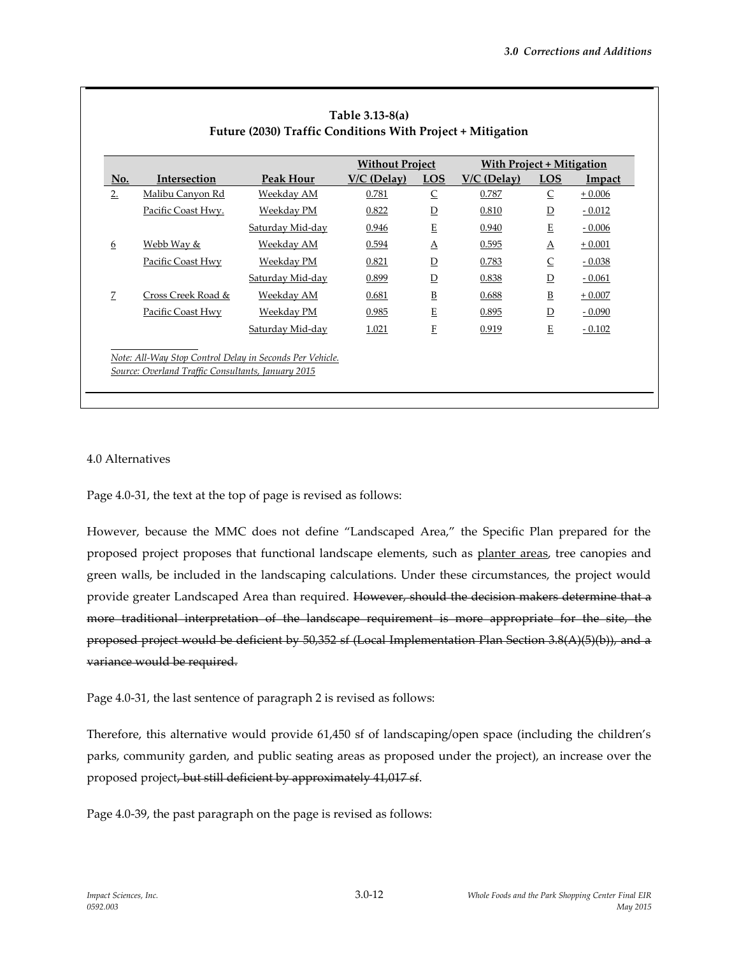|     |                    |                  | <b>Without Project</b> |                          | <b>With Project + Mitigation</b> |                          |          |
|-----|--------------------|------------------|------------------------|--------------------------|----------------------------------|--------------------------|----------|
| No. | Intersection       | Peak Hour        | $V/C$ (Delay)          | <b>LOS</b>               | $V/C$ (Delay)                    | $\underline{LOS}$        | Impact   |
| 2.  | Malibu Canyon Rd   | Weekday AM       | 0.781                  | $\overline{C}$           | 0.787                            | $\overline{\mathsf{C}}$  | $+0.006$ |
|     | Pacific Coast Hwy. | Weekday PM       | 0.822                  | $\overline{D}$           | 0.810                            | $\overline{D}$           | $-0.012$ |
|     |                    | Saturday Mid-day | 0.946                  | Ε                        | 0.940                            | E                        | $-0.006$ |
| 6   | Webb Way &         | Weekday AM       | 0.594                  | A                        | 0.595                            | $\Delta$                 | $+0.001$ |
|     | Pacific Coast Hwy  | Weekday PM       | 0.821                  | $\overline{D}$           | 0.783                            | $\overline{\mathsf{C}}$  | $-0.038$ |
|     |                    | Saturday Mid-day | 0.899                  | $\overline{D}$           | 0.838                            | $\overline{\mathsf{D}}$  | $-0.061$ |
| 7   | Cross Creek Road & | Weekday AM       | 0.681                  | $\underline{\mathbf{B}}$ | 0.688                            | $\underline{\mathbf{B}}$ | $+0.007$ |
|     | Pacific Coast Hwy  | Weekday PM       | 0.985                  | E                        | 0.895                            | $\overline{\mathsf{D}}$  | $-0.090$ |
|     |                    | Saturday Mid-day | 1.021                  | F                        | 0.919                            | $\mathbf E$              | $-0.102$ |
|     |                    |                  |                        |                          |                                  |                          |          |

#### 4.0 Alternatives

Page 4.0-31, the text at the top of page is revised as follows:

However, because the MMC does not define "Landscaped Area," the Specific Plan prepared for the proposed project proposes that functional landscape elements, such as planter areas, tree canopies and green walls, be included in the landscaping calculations. Under these circumstances, the project would provide greater Landscaped Area than required. However, should the decision makers determine that a more traditional interpretation of the landscape requirement is more appropriate for the site, the proposed project would be deficient by 50,352 sf (Local Implementation Plan Section 3.8(A)(5)(b)), and a variance would be required.

Page 4.0-31, the last sentence of paragraph 2 is revised as follows:

Therefore, this alternative would provide 61,450 sf of landscaping/open space (including the children's parks, community garden, and public seating areas as proposed under the project), an increase over the proposed project, but still deficient by approximately 41,017 sf.

Page 4.0-39, the past paragraph on the page is revised as follows: